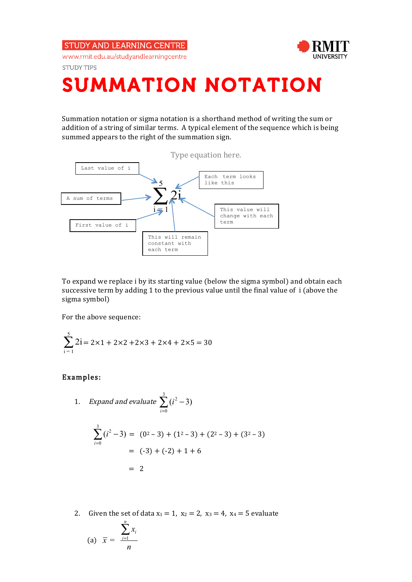**STUDY AND LEARNING CENTRE** 





**STUDY TIPS** 

## SUMMATION NOTATION

Summation notation or sigma notation is a shorthand method of writing the sum or addition of a string of similar terms. A typical element of the sequence which is being summed appears to the right of the summation sign.



To expand we replace i by its starting value (below the sigma symbol) and obtain each successive term by adding 1 to the previous value until the final value of i (above the sigma symbol)

For the above sequence:

$$
\sum_{i=1}^{5} 2i = 2 \times 1 + 2 \times 2 + 2 \times 3 + 2 \times 4 + 2 \times 5 = 30
$$

## Examples:

1. Expand and evaluate 
$$
\sum_{i=0}^{3} (i^2 - 3)
$$

$$
\sum_{i=0}^{3} (i^2 - 3) = (0^2 - 3) + (1^2 - 3) + (2^2 - 3) + (3^2 - 3)
$$
  
= (-3) + (-2) + 1 + 6  
= 2

2. Given the set of data  $x_1 = 1$ ,  $x_2 = 2$ ,  $x_3 = 4$ ,  $x_4 = 5$  evaluate

(a) 
$$
\overline{x} = \frac{\sum_{i=1}^{n} x_i}{n}
$$